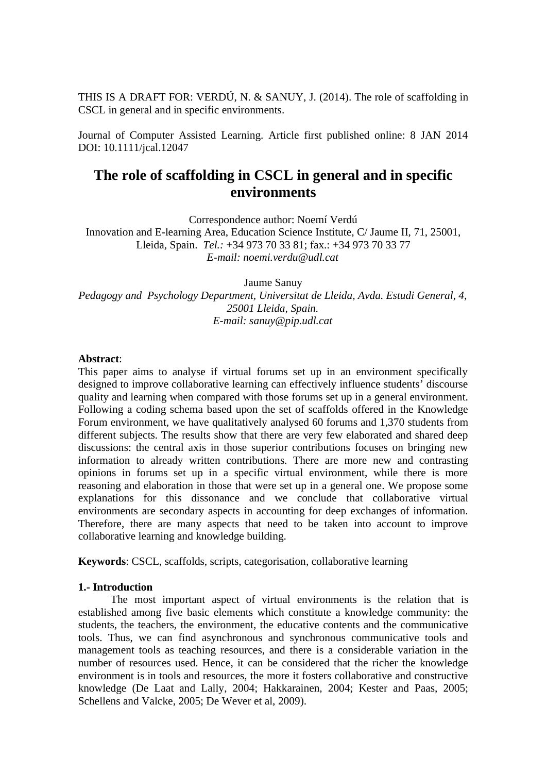THIS IS A DRAFT FOR: VERDÚ, N. & SANUY, J. (2014). The role of scaffolding in CSCL in general and in specific environments.

Journal of Computer Assisted Learning. Article first published online: 8 JAN 2014 DOI: 10.1111/jcal.12047

# **The role of scaffolding in CSCL in general and in specific environments**

Correspondence author: Noemí Verdú

Innovation and E-learning Area, Education Science Institute, C/ Jaume II, 71, 25001, Lleida, Spain. *Tel.:* +34 973 70 33 81; fax.: +34 973 70 33 77 *E-mail: noemi.verdu@udl.cat*

Jaume Sanuy

*Pedagogy and Psychology Department, Universitat de Lleida, Avda. Estudi General, 4, 25001 Lleida, Spain. E-mail: sanuy@pip.udl.cat*

### **Abstract**:

This paper aims to analyse if virtual forums set up in an environment specifically designed to improve collaborative learning can effectively influence students' discourse quality and learning when compared with those forums set up in a general environment. Following a coding schema based upon the set of scaffolds offered in the Knowledge Forum environment, we have qualitatively analysed 60 forums and 1,370 students from different subjects. The results show that there are very few elaborated and shared deep discussions: the central axis in those superior contributions focuses on bringing new information to already written contributions. There are more new and contrasting opinions in forums set up in a specific virtual environment, while there is more reasoning and elaboration in those that were set up in a general one. We propose some explanations for this dissonance and we conclude that collaborative virtual environments are secondary aspects in accounting for deep exchanges of information. Therefore, there are many aspects that need to be taken into account to improve collaborative learning and knowledge building.

**Keywords**: CSCL, scaffolds, scripts, categorisation, collaborative learning

# **1.- Introduction**

The most important aspect of virtual environments is the relation that is established among five basic elements which constitute a knowledge community: the students, the teachers, the environment, the educative contents and the communicative tools. Thus, we can find asynchronous and synchronous communicative tools and management tools as teaching resources, and there is a considerable variation in the number of resources used. Hence, it can be considered that the richer the knowledge environment is in tools and resources, the more it fosters collaborative and constructive knowledge (De Laat and Lally, 2004; Hakkarainen, 2004; Kester and Paas, 2005; Schellens and Valcke, 2005; De Wever et al, 2009).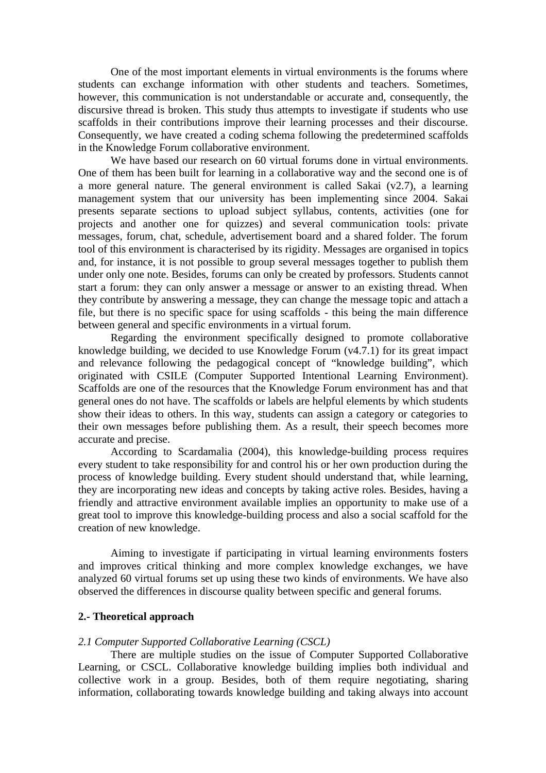One of the most important elements in virtual environments is the forums where students can exchange information with other students and teachers. Sometimes, however, this communication is not understandable or accurate and, consequently, the discursive thread is broken. This study thus attempts to investigate if students who use scaffolds in their contributions improve their learning processes and their discourse. Consequently, we have created a coding schema following the predetermined scaffolds in the Knowledge Forum collaborative environment.

We have based our research on 60 virtual forums done in virtual environments. One of them has been built for learning in a collaborative way and the second one is of a more general nature. The general environment is called Sakai (v2.7), a learning management system that our university has been implementing since 2004. Sakai presents separate sections to upload subject syllabus, contents, activities (one for projects and another one for quizzes) and several communication tools: private messages, forum, chat, schedule, advertisement board and a shared folder. The forum tool of this environment is characterised by its rigidity. Messages are organised in topics and, for instance, it is not possible to group several messages together to publish them under only one note. Besides, forums can only be created by professors. Students cannot start a forum: they can only answer a message or answer to an existing thread. When they contribute by answering a message, they can change the message topic and attach a file, but there is no specific space for using scaffolds - this being the main difference between general and specific environments in a virtual forum.

Regarding the environment specifically designed to promote collaborative knowledge building, we decided to use Knowledge Forum (v4.7.1) for its great impact and relevance following the pedagogical concept of "knowledge building", which originated with CSILE (Computer Supported Intentional Learning Environment). Scaffolds are one of the resources that the Knowledge Forum environment has and that general ones do not have. The scaffolds or labels are helpful elements by which students show their ideas to others. In this way, students can assign a category or categories to their own messages before publishing them. As a result, their speech becomes more accurate and precise.

According to Scardamalia (2004), this knowledge-building process requires every student to take responsibility for and control his or her own production during the process of knowledge building. Every student should understand that, while learning, they are incorporating new ideas and concepts by taking active roles. Besides, having a friendly and attractive environment available implies an opportunity to make use of a great tool to improve this knowledge-building process and also a social scaffold for the creation of new knowledge.

Aiming to investigate if participating in virtual learning environments fosters and improves critical thinking and more complex knowledge exchanges, we have analyzed 60 virtual forums set up using these two kinds of environments. We have also observed the differences in discourse quality between specific and general forums.

# **2.- Theoretical approach**

### *2.1 Computer Supported Collaborative Learning (CSCL)*

There are multiple studies on the issue of Computer Supported Collaborative Learning, or CSCL. Collaborative knowledge building implies both individual and collective work in a group. Besides, both of them require negotiating, sharing information, collaborating towards knowledge building and taking always into account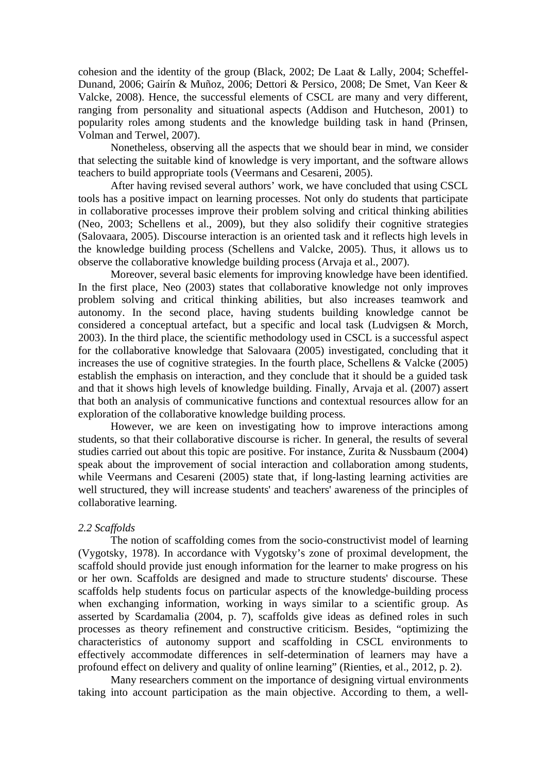cohesion and the identity of the group (Black, 2002; De Laat & Lally, 2004; Scheffel-Dunand, 2006; Gairín & Muñoz, 2006; Dettori & Persico, 2008; De Smet, Van Keer & Valcke, 2008). Hence, the successful elements of CSCL are many and very different, ranging from personality and situational aspects (Addison and Hutcheson, 2001) to popularity roles among students and the knowledge building task in hand (Prinsen, Volman and Terwel, 2007).

Nonetheless, observing all the aspects that we should bear in mind, we consider that selecting the suitable kind of knowledge is very important, and the software allows teachers to build appropriate tools (Veermans and Cesareni, 2005).

After having revised several authors' work, we have concluded that using CSCL tools has a positive impact on learning processes. Not only do students that participate in collaborative processes improve their problem solving and critical thinking abilities (Neo, 2003; Schellens et al., 2009), but they also solidify their cognitive strategies (Salovaara, 2005). Discourse interaction is an oriented task and it reflects high levels in the knowledge building process (Schellens and Valcke, 2005). Thus, it allows us to observe the collaborative knowledge building process (Arvaja et al., 2007).

Moreover, several basic elements for improving knowledge have been identified. In the first place, Neo (2003) states that collaborative knowledge not only improves problem solving and critical thinking abilities, but also increases teamwork and autonomy. In the second place, having students building knowledge cannot be considered a conceptual artefact, but a specific and local task (Ludvigsen & Morch, 2003). In the third place, the scientific methodology used in CSCL is a successful aspect for the collaborative knowledge that Salovaara (2005) investigated, concluding that it increases the use of cognitive strategies. In the fourth place, Schellens & Valcke (2005) establish the emphasis on interaction, and they conclude that it should be a guided task and that it shows high levels of knowledge building. Finally, Arvaja et al. (2007) assert that both an analysis of communicative functions and contextual resources allow for an exploration of the collaborative knowledge building process.

However, we are keen on investigating how to improve interactions among students, so that their collaborative discourse is richer. In general, the results of several studies carried out about this topic are positive. For instance, Zurita & Nussbaum (2004) speak about the improvement of social interaction and collaboration among students, while Veermans and Cesareni (2005) state that, if long-lasting learning activities are well structured, they will increase students' and teachers' awareness of the principles of collaborative learning.

# *2.2 Scaffolds*

The notion of scaffolding comes from the socio-constructivist model of learning (Vygotsky, 1978). In accordance with Vygotsky's zone of proximal development, the scaffold should provide just enough information for the learner to make progress on his or her own. Scaffolds are designed and made to structure students' discourse. These scaffolds help students focus on particular aspects of the knowledge-building process when exchanging information, working in ways similar to a scientific group. As asserted by Scardamalia (2004, p. 7), scaffolds give ideas as defined roles in such processes as theory refinement and constructive criticism. Besides, "optimizing the characteristics of autonomy support and scaffolding in CSCL environments to effectively accommodate differences in self-determination of learners may have a profound effect on delivery and quality of online learning" (Rienties, et al., 2012, p. 2).

Many researchers comment on the importance of designing virtual environments taking into account participation as the main objective. According to them, a well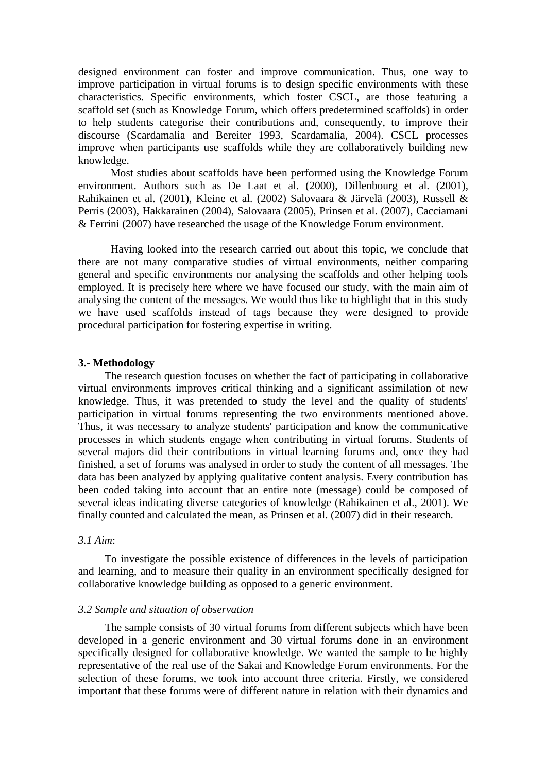designed environment can foster and improve communication. Thus, one way to improve participation in virtual forums is to design specific environments with these characteristics. Specific environments, which foster CSCL, are those featuring a scaffold set (such as Knowledge Forum, which offers predetermined scaffolds) in order to help students categorise their contributions and, consequently, to improve their discourse (Scardamalia and Bereiter 1993, Scardamalia, 2004). CSCL processes improve when participants use scaffolds while they are collaboratively building new knowledge.

Most studies about scaffolds have been performed using the Knowledge Forum environment. Authors such as De Laat et al. (2000), Dillenbourg et al. (2001), Rahikainen et al. (2001), Kleine et al. (2002) Salovaara & Järvelä (2003), Russell & Perris (2003), Hakkarainen (2004), Salovaara (2005), Prinsen et al. (2007), Cacciamani & Ferrini (2007) have researched the usage of the Knowledge Forum environment.

Having looked into the research carried out about this topic, we conclude that there are not many comparative studies of virtual environments, neither comparing general and specific environments nor analysing the scaffolds and other helping tools employed. It is precisely here where we have focused our study, with the main aim of analysing the content of the messages. We would thus like to highlight that in this study we have used scaffolds instead of tags because they were designed to provide procedural participation for fostering expertise in writing.

### **3.- Methodology**

The research question focuses on whether the fact of participating in collaborative virtual environments improves critical thinking and a significant assimilation of new knowledge. Thus, it was pretended to study the level and the quality of students' participation in virtual forums representing the two environments mentioned above. Thus, it was necessary to analyze students' participation and know the communicative processes in which students engage when contributing in virtual forums. Students of several majors did their contributions in virtual learning forums and, once they had finished, a set of forums was analysed in order to study the content of all messages. The data has been analyzed by applying qualitative content analysis. Every contribution has been coded taking into account that an entire note (message) could be composed of several ideas indicating diverse categories of knowledge (Rahikainen et al., 2001). We finally counted and calculated the mean, as Prinsen et al. (2007) did in their research.

# *3.1 Aim*:

To investigate the possible existence of differences in the levels of participation and learning, and to measure their quality in an environment specifically designed for collaborative knowledge building as opposed to a generic environment.

#### *3.2 Sample and situation of observation*

The sample consists of 30 virtual forums from different subjects which have been developed in a generic environment and 30 virtual forums done in an environment specifically designed for collaborative knowledge. We wanted the sample to be highly representative of the real use of the Sakai and Knowledge Forum environments. For the selection of these forums, we took into account three criteria. Firstly, we considered important that these forums were of different nature in relation with their dynamics and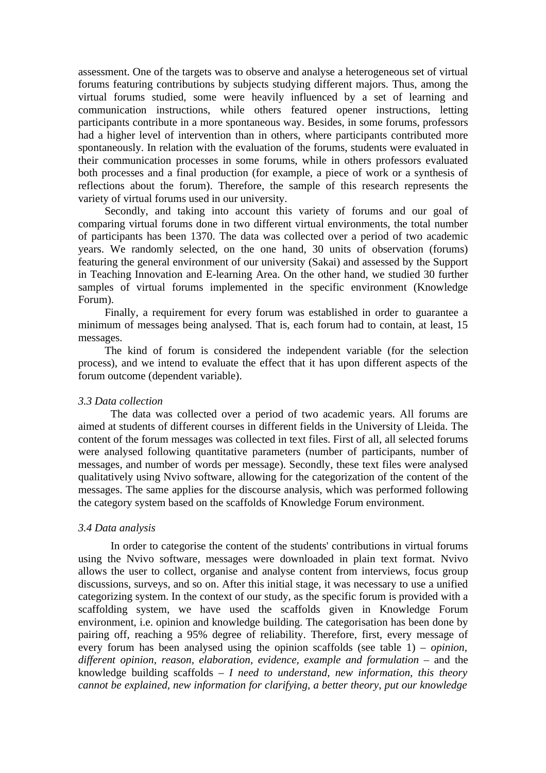assessment. One of the targets was to observe and analyse a heterogeneous set of virtual forums featuring contributions by subjects studying different majors. Thus, among the virtual forums studied, some were heavily influenced by a set of learning and communication instructions, while others featured opener instructions, letting participants contribute in a more spontaneous way. Besides, in some forums, professors had a higher level of intervention than in others, where participants contributed more spontaneously. In relation with the evaluation of the forums, students were evaluated in their communication processes in some forums, while in others professors evaluated both processes and a final production (for example, a piece of work or a synthesis of reflections about the forum). Therefore, the sample of this research represents the variety of virtual forums used in our university.

Secondly, and taking into account this variety of forums and our goal of comparing virtual forums done in two different virtual environments, the total number of participants has been 1370. The data was collected over a period of two academic years. We randomly selected, on the one hand, 30 units of observation (forums) featuring the general environment of our university (Sakai) and assessed by the Support in Teaching Innovation and E-learning Area. On the other hand, we studied 30 further samples of virtual forums implemented in the specific environment (Knowledge Forum).

Finally, a requirement for every forum was established in order to guarantee a minimum of messages being analysed. That is, each forum had to contain, at least, 15 messages.

The kind of forum is considered the independent variable (for the selection process), and we intend to evaluate the effect that it has upon different aspects of the forum outcome (dependent variable).

# *3.3 Data collection*

The data was collected over a period of two academic years. All forums are aimed at students of different courses in different fields in the University of Lleida. The content of the forum messages was collected in text files. First of all, all selected forums were analysed following quantitative parameters (number of participants, number of messages, and number of words per message). Secondly, these text files were analysed qualitatively using Nvivo software, allowing for the categorization of the content of the messages. The same applies for the discourse analysis, which was performed following the category system based on the scaffolds of Knowledge Forum environment.

# *3.4 Data analysis*

In order to categorise the content of the students' contributions in virtual forums using the Nvivo software, messages were downloaded in plain text format. Nvivo allows the user to collect, organise and analyse content from interviews, focus group discussions, surveys, and so on. After this initial stage, it was necessary to use a unified categorizing system. In the context of our study, as the specific forum is provided with a scaffolding system, we have used the scaffolds given in Knowledge Forum environment, i.e. opinion and knowledge building. The categorisation has been done by pairing off, reaching a 95% degree of reliability. Therefore, first, every message of every forum has been analysed using the opinion scaffolds (see table 1) – *opinion, different opinion, reason, elaboration, evidence, example and formulation* – and the knowledge building scaffolds – *I need to understand, new information, this theory cannot be explained, new information for clarifying, a better theory, put our knowledge*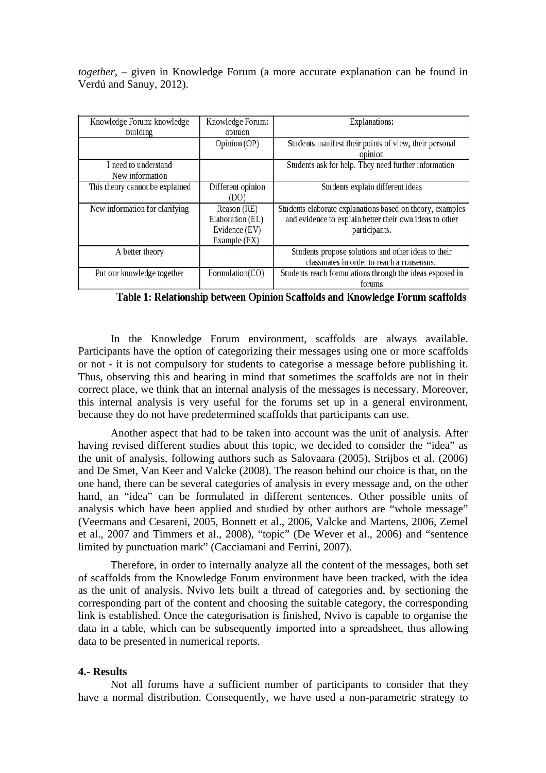*together,* – given in Knowledge Forum (a more accurate explanation can be found in Verdú and Sanuy, 2012).

| Knowledge Forum: knowledge<br>building  | Knowledge Forum:<br>opinion                                      | Explanations:                                                                                                                         |
|-----------------------------------------|------------------------------------------------------------------|---------------------------------------------------------------------------------------------------------------------------------------|
|                                         | Opinion (OP)                                                     | Students manifest their points of view, their personal<br>opinion                                                                     |
| I need to understand<br>New information |                                                                  | Students ask for help. They need further information                                                                                  |
| This theory cannot be explained         | Different opinion<br>(DO)                                        | Students explain different ideas                                                                                                      |
| New information for clarifying          | Reason (RE)<br>Elaboration (EL)<br>Evidence (EV)<br>Example (EX) | Students elaborate explanations based on theory, examples<br>and evidence to explain better their own ideas to other<br>participants. |
| A better theory                         |                                                                  | Students propose solutions and other ideas to their<br>classmates in order to reach a consensus.                                      |
| Put our knowledge together              | Formulation(CO)                                                  | Students reach formulations through the ideas exposed in<br>forums                                                                    |

Table 1: Relationship between Opinion Scaffolds and Knowledge Forum scaffolds

In the Knowledge Forum environment, scaffolds are always available. Participants have the option of categorizing their messages using one or more scaffolds or not - it is not compulsory for students to categorise a message before publishing it. Thus, observing this and bearing in mind that sometimes the scaffolds are not in their correct place, we think that an internal analysis of the messages is necessary. Moreover, this internal analysis is very useful for the forums set up in a general environment, because they do not have predetermined scaffolds that participants can use.

Another aspect that had to be taken into account was the unit of analysis. After having revised different studies about this topic, we decided to consider the "idea" as the unit of analysis, following authors such as Salovaara (2005), Strijbos et al. (2006) and De Smet, Van Keer and Valcke (2008). The reason behind our choice is that, on the one hand, there can be several categories of analysis in every message and, on the other hand, an "idea" can be formulated in different sentences. Other possible units of analysis which have been applied and studied by other authors are "whole message" (Veermans and Cesareni, 2005, Bonnett et al., 2006, Valcke and Martens, 2006, Zemel et al., 2007 and Timmers et al., 2008), "topic" (De Wever et al., 2006) and "sentence limited by punctuation mark" (Cacciamani and Ferrini, 2007).

Therefore, in order to internally analyze all the content of the messages, both set of scaffolds from the Knowledge Forum environment have been tracked, with the idea as the unit of analysis. Nvivo lets built a thread of categories and, by sectioning the corresponding part of the content and choosing the suitable category, the corresponding link is established. Once the categorisation is finished, Nvivo is capable to organise the data in a table, which can be subsequently imported into a spreadsheet, thus allowing data to be presented in numerical reports.

### **4.- Results**

Not all forums have a sufficient number of participants to consider that they have a normal distribution. Consequently, we have used a non-parametric strategy to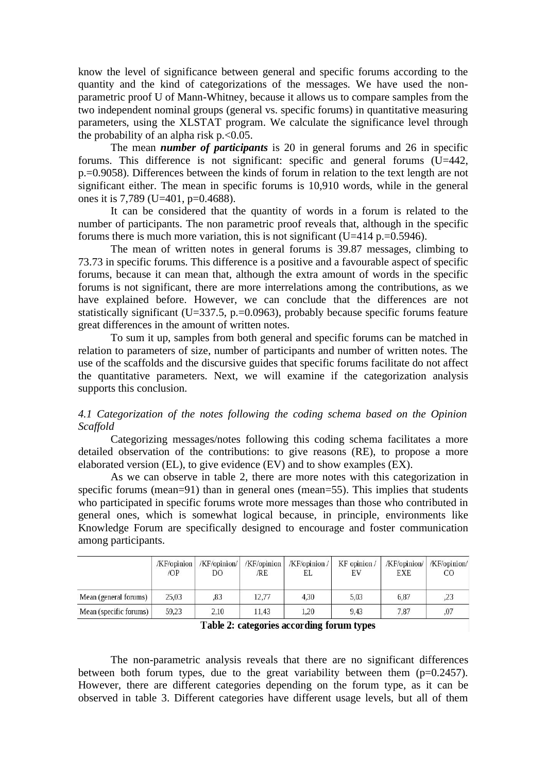know the level of significance between general and specific forums according to the quantity and the kind of categorizations of the messages. We have used the nonparametric proof U of Mann-Whitney, because it allows us to compare samples from the two independent nominal groups (general vs. specific forums) in quantitative measuring parameters, using the XLSTAT program. We calculate the significance level through the probability of an alpha risk p.<0.05.

The mean *number of participants* is 20 in general forums and 26 in specific forums. This difference is not significant: specific and general forums (U=442, p.=0.9058). Differences between the kinds of forum in relation to the text length are not significant either. The mean in specific forums is 10,910 words, while in the general ones it is 7,789 (U=401, p=0.4688).

It can be considered that the quantity of words in a forum is related to the number of participants. The non parametric proof reveals that, although in the specific forums there is much more variation, this is not significant (U=414 p.=0.5946).

The mean of written notes in general forums is 39.87 messages, climbing to 73.73 in specific forums. This difference is a positive and a favourable aspect of specific forums, because it can mean that, although the extra amount of words in the specific forums is not significant, there are more interrelations among the contributions, as we have explained before. However, we can conclude that the differences are not statistically significant (U=337.5, p.=0.0963), probably because specific forums feature great differences in the amount of written notes.

To sum it up, samples from both general and specific forums can be matched in relation to parameters of size, number of participants and number of written notes. The use of the scaffolds and the discursive guides that specific forums facilitate do not affect the quantitative parameters. Next, we will examine if the categorization analysis supports this conclusion.

# *4.1 Categorization of the notes following the coding schema based on the Opinion Scaffold*

Categorizing messages/notes following this coding schema facilitates a more detailed observation of the contributions: to give reasons (RE), to propose a more elaborated version (EL), to give evidence (EV) and to show examples (EX).

As we can observe in table 2, there are more notes with this categorization in specific forums (mean=91) than in general ones (mean=55). This implies that students who participated in specific forums wrote more messages than those who contributed in general ones, which is somewhat logical because, in principle, environments like Knowledge Forum are specifically designed to encourage and foster communication among participants.

|                        | $KF$ /opinion<br>/OP | $/KF$ /opinion/<br>DO | $/KF$ /opinion<br>/RE | /KF/opinion /<br>EL | $KF$ opinion / | /KF/opinion/   /KF/opinion/<br><b>EXE</b> | <sub>CO</sub> |
|------------------------|----------------------|-----------------------|-----------------------|---------------------|----------------|-------------------------------------------|---------------|
| Mean (general forums)  | 25.03                | .83                   | 12.77                 | 4.30                | 5.03           | 6.87                                      | .23           |
| Mean (specific forums) | 59,23                | 2,10                  | 11.43                 | 1,20                | 9,43           | 7,87                                      | , 0.7         |

Table 2: categories according forum types

The non-parametric analysis reveals that there are no significant differences between both forum types, due to the great variability between them  $(p=0.2457)$ . However, there are different categories depending on the forum type, as it can be observed in table 3. Different categories have different usage levels, but all of them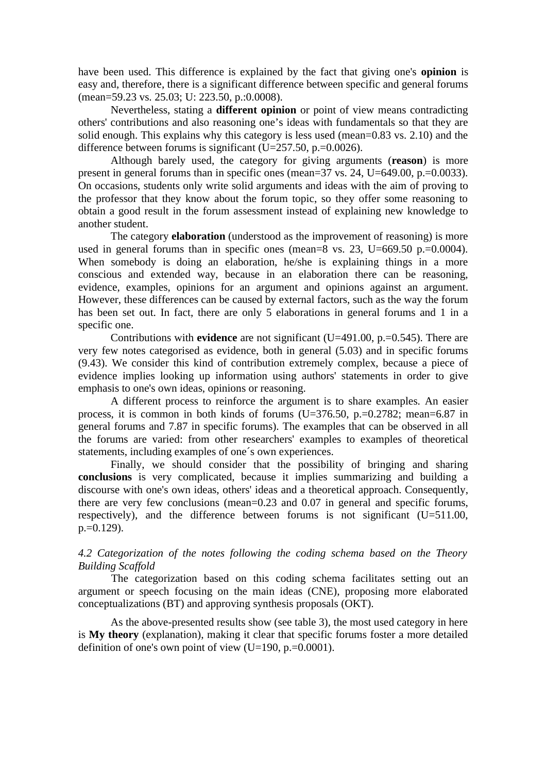have been used. This difference is explained by the fact that giving one's **opinion** is easy and, therefore, there is a significant difference between specific and general forums (mean=59.23 vs. 25.03; U: 223.50, p.:0.0008).

Nevertheless, stating a **different opinion** or point of view means contradicting others' contributions and also reasoning one's ideas with fundamentals so that they are solid enough. This explains why this category is less used (mean=0.83 vs. 2.10) and the difference between forums is significant (U=257.50, p.=0.0026).

Although barely used, the category for giving arguments (**reason**) is more present in general forums than in specific ones (mean=37 vs. 24, U=649.00, p.=0.0033). On occasions, students only write solid arguments and ideas with the aim of proving to the professor that they know about the forum topic, so they offer some reasoning to obtain a good result in the forum assessment instead of explaining new knowledge to another student.

The category **elaboration** (understood as the improvement of reasoning) is more used in general forums than in specific ones (mean=8 vs. 23, U=669.50 p.=0.0004). When somebody is doing an elaboration, he/she is explaining things in a more conscious and extended way, because in an elaboration there can be reasoning, evidence, examples, opinions for an argument and opinions against an argument. However, these differences can be caused by external factors, such as the way the forum has been set out. In fact, there are only 5 elaborations in general forums and 1 in a specific one.

Contributions with **evidence** are not significant (U=491.00, p.=0.545). There are very few notes categorised as evidence, both in general (5.03) and in specific forums (9.43). We consider this kind of contribution extremely complex, because a piece of evidence implies looking up information using authors' statements in order to give emphasis to one's own ideas, opinions or reasoning.

A different process to reinforce the argument is to share examples. An easier process, it is common in both kinds of forums (U=376.50, p.=0.2782; mean=6.87 in general forums and 7.87 in specific forums). The examples that can be observed in all the forums are varied: from other researchers' examples to examples of theoretical statements, including examples of one´s own experiences.

Finally, we should consider that the possibility of bringing and sharing **conclusions** is very complicated, because it implies summarizing and building a discourse with one's own ideas, others' ideas and a theoretical approach. Consequently, there are very few conclusions (mean=0.23 and 0.07 in general and specific forums, respectively), and the difference between forums is not significant (U=511.00,  $p = 0.129$ ).

*4.2 Categorization of the notes following the coding schema based on the Theory Building Scaffold*

The categorization based on this coding schema facilitates setting out an argument or speech focusing on the main ideas (CNE), proposing more elaborated conceptualizations (BT) and approving synthesis proposals (OKT).

As the above-presented results show (see table 3), the most used category in here is **My theory** (explanation), making it clear that specific forums foster a more detailed definition of one's own point of view (U=190, p.=0.0001).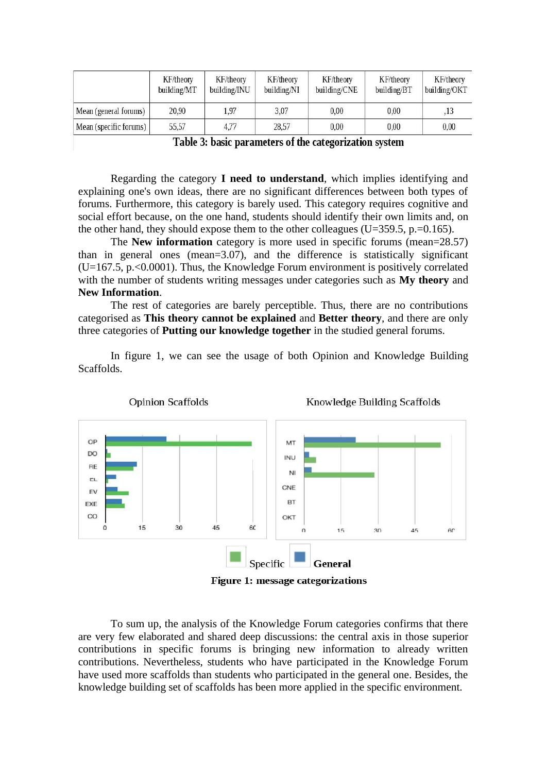|                        | KF/theory<br>building/MT | KF/theory<br>building/INU | KF/theory<br>building/NI | KF/theory<br>building/CNE | KF/theory<br>building/BT | KF/theory<br>building/OKT |
|------------------------|--------------------------|---------------------------|--------------------------|---------------------------|--------------------------|---------------------------|
| Mean (general forums)  | 20,90                    | 1,97                      | 3,07                     | 0,00                      | 0,00                     | .13                       |
| Mean (specific forums) | 55,57                    | 4,77                      | 28,57                    | 0,00                      | 0,00                     | 0,00                      |

Table 3: basic parameters of the categorization system

Regarding the category **I need to understand**, which implies identifying and explaining one's own ideas, there are no significant differences between both types of forums. Furthermore, this category is barely used. This category requires cognitive and social effort because, on the one hand, students should identify their own limits and, on the other hand, they should expose them to the other colleagues (U=359.5, p.=0.165).

The **New information** category is more used in specific forums (mean=28.57) than in general ones (mean=3.07), and the difference is statistically significant  $(U=167.5, p<0.0001)$ . Thus, the Knowledge Forum environment is positively correlated with the number of students writing messages under categories such as **My theory** and **New Information**.

The rest of categories are barely perceptible. Thus, there are no contributions categorised as **This theory cannot be explained** and **Better theory**, and there are only three categories of **Putting our knowledge together** in the studied general forums.

In figure 1, we can see the usage of both Opinion and Knowledge Building Scaffolds.



To sum up, the analysis of the Knowledge Forum categories confirms that there are very few elaborated and shared deep discussions: the central axis in those superior contributions in specific forums is bringing new information to already written contributions. Nevertheless, students who have participated in the Knowledge Forum have used more scaffolds than students who participated in the general one. Besides, the knowledge building set of scaffolds has been more applied in the specific environment.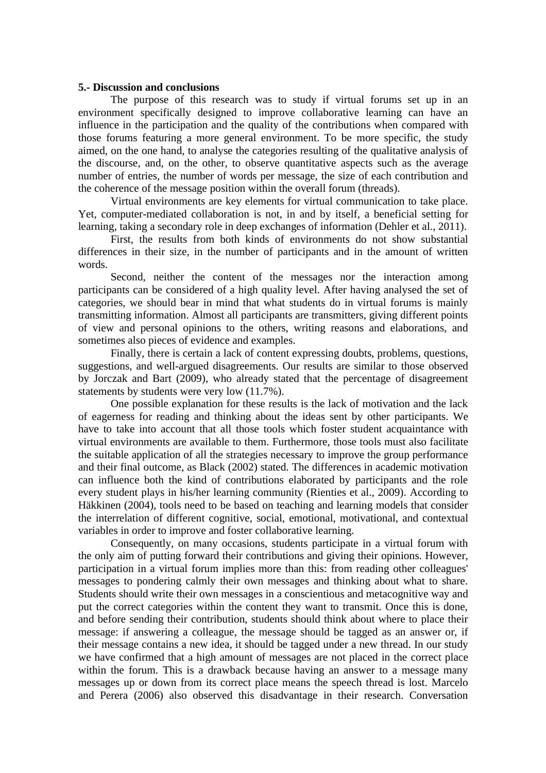#### **5.- Discussion and conclusions**

The purpose of this research was to study if virtual forums set up in an environment specifically designed to improve collaborative learning can have an influence in the participation and the quality of the contributions when compared with those forums featuring a more general environment. To be more specific, the study aimed, on the one hand, to analyse the categories resulting of the qualitative analysis of the discourse, and, on the other, to observe quantitative aspects such as the average number of entries, the number of words per message, the size of each contribution and the coherence of the message position within the overall forum (threads).

Virtual environments are key elements for virtual communication to take place. Yet, computer-mediated collaboration is not, in and by itself, a beneficial setting for learning, taking a secondary role in deep exchanges of information (Dehler et al., 2011).

First, the results from both kinds of environments do not show substantial differences in their size, in the number of participants and in the amount of written words.

Second, neither the content of the messages nor the interaction among participants can be considered of a high quality level. After having analysed the set of categories, we should bear in mind that what students do in virtual forums is mainly transmitting information. Almost all participants are transmitters, giving different points of view and personal opinions to the others, writing reasons and elaborations, and sometimes also pieces of evidence and examples.

Finally, there is certain a lack of content expressing doubts, problems, questions, suggestions, and well-argued disagreements. Our results are similar to those observed by Jorczak and Bart (2009), who already stated that the percentage of disagreement statements by students were very low (11.7%).

One possible explanation for these results is the lack of motivation and the lack of eagerness for reading and thinking about the ideas sent by other participants. We have to take into account that all those tools which foster student acquaintance with virtual environments are available to them. Furthermore, those tools must also facilitate the suitable application of all the strategies necessary to improve the group performance and their final outcome, as Black (2002) stated. The differences in academic motivation can influence both the kind of contributions elaborated by participants and the role every student plays in his/her learning community (Rienties et al., 2009). According to Häkkinen (2004), tools need to be based on teaching and learning models that consider the interrelation of different cognitive, social, emotional, motivational, and contextual variables in order to improve and foster collaborative learning.

Consequently, on many occasions, students participate in a virtual forum with the only aim of putting forward their contributions and giving their opinions. However, participation in a virtual forum implies more than this: from reading other colleagues' messages to pondering calmly their own messages and thinking about what to share. Students should write their own messages in a conscientious and metacognitive way and put the correct categories within the content they want to transmit. Once this is done, and before sending their contribution, students should think about where to place their message: if answering a colleague, the message should be tagged as an answer or, if their message contains a new idea, it should be tagged under a new thread. In our study we have confirmed that a high amount of messages are not placed in the correct place within the forum. This is a drawback because having an answer to a message many messages up or down from its correct place means the speech thread is lost. Marcelo and Perera (2006) also observed this disadvantage in their research. Conversation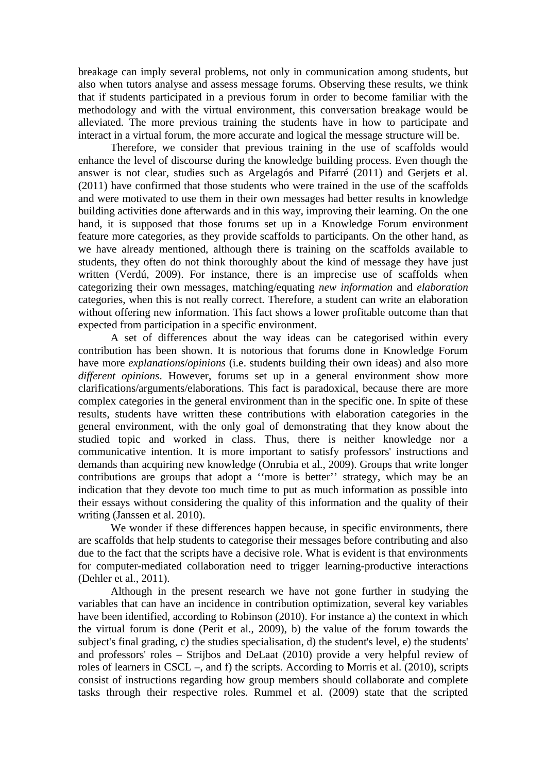breakage can imply several problems, not only in communication among students, but also when tutors analyse and assess message forums. Observing these results, we think that if students participated in a previous forum in order to become familiar with the methodology and with the virtual environment, this conversation breakage would be alleviated. The more previous training the students have in how to participate and interact in a virtual forum, the more accurate and logical the message structure will be.

Therefore, we consider that previous training in the use of scaffolds would enhance the level of discourse during the knowledge building process. Even though the answer is not clear, studies such as Argelagós and Pifarré (2011) and Gerjets et al. (2011) have confirmed that those students who were trained in the use of the scaffolds and were motivated to use them in their own messages had better results in knowledge building activities done afterwards and in this way, improving their learning. On the one hand, it is supposed that those forums set up in a Knowledge Forum environment feature more categories, as they provide scaffolds to participants. On the other hand, as we have already mentioned, although there is training on the scaffolds available to students, they often do not think thoroughly about the kind of message they have just written (Verdú, 2009). For instance, there is an imprecise use of scaffolds when categorizing their own messages, matching/equating *new information* and *elaboration* categories, when this is not really correct. Therefore, a student can write an elaboration without offering new information. This fact shows a lower profitable outcome than that expected from participation in a specific environment.

A set of differences about the way ideas can be categorised within every contribution has been shown. It is notorious that forums done in Knowledge Forum have more *explanations*/*opinions* (i.e. students building their own ideas) and also more *different opinions*. However, forums set up in a general environment show more clarifications/arguments/elaborations. This fact is paradoxical, because there are more complex categories in the general environment than in the specific one. In spite of these results, students have written these contributions with elaboration categories in the general environment, with the only goal of demonstrating that they know about the studied topic and worked in class. Thus, there is neither knowledge nor a communicative intention. It is more important to satisfy professors' instructions and demands than acquiring new knowledge (Onrubia et al., 2009). Groups that write longer contributions are groups that adopt a ''more is better'' strategy, which may be an indication that they devote too much time to put as much information as possible into their essays without considering the quality of this information and the quality of their writing (Janssen et al. 2010).

We wonder if these differences happen because, in specific environments, there are scaffolds that help students to categorise their messages before contributing and also due to the fact that the scripts have a decisive role. What is evident is that environments for computer-mediated collaboration need to trigger learning-productive interactions (Dehler et al., 2011).

Although in the present research we have not gone further in studying the variables that can have an incidence in contribution optimization, several key variables have been identified, according to Robinson (2010). For instance a) the context in which the virtual forum is done (Perit et al., 2009), b) the value of the forum towards the subject's final grading, c) the studies specialisation, d) the student's level, e) the students' and professors' roles – Strijbos and DeLaat (2010) provide a very helpful review of roles of learners in CSCL –, and f) the scripts. According to Morris et al. (2010), scripts consist of instructions regarding how group members should collaborate and complete tasks through their respective roles. Rummel et al. (2009) state that the scripted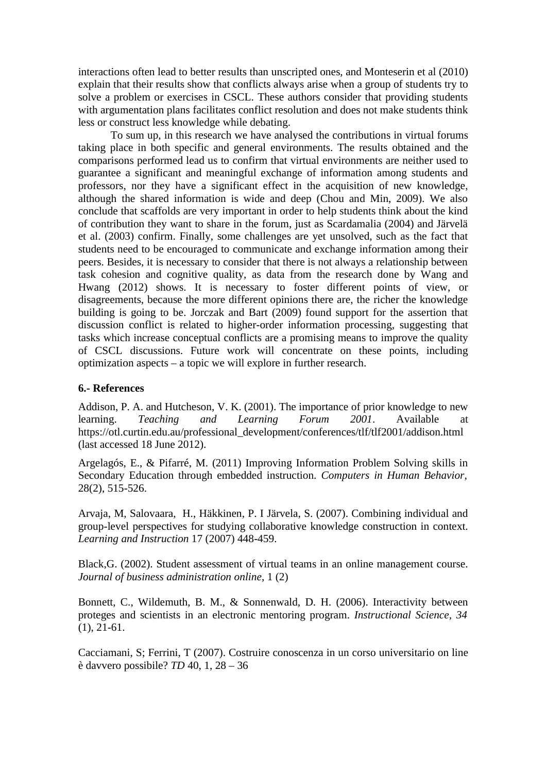interactions often lead to better results than unscripted ones, and Monteserin et al (2010) explain that their results show that conflicts always arise when a group of students try to solve a problem or exercises in CSCL. These authors consider that providing students with argumentation plans facilitates conflict resolution and does not make students think less or construct less knowledge while debating.

To sum up, in this research we have analysed the contributions in virtual forums taking place in both specific and general environments. The results obtained and the comparisons performed lead us to confirm that virtual environments are neither used to guarantee a significant and meaningful exchange of information among students and professors, nor they have a significant effect in the acquisition of new knowledge, although the shared information is wide and deep (Chou and Min, 2009). We also conclude that scaffolds are very important in order to help students think about the kind of contribution they want to share in the forum, just as Scardamalia (2004) and Järvelä et al. (2003) confirm. Finally, some challenges are yet unsolved, such as the fact that students need to be encouraged to communicate and exchange information among their peers. Besides, it is necessary to consider that there is not always a relationship between task cohesion and cognitive quality, as data from the research done by Wang and Hwang (2012) shows. It is necessary to foster different points of view, or disagreements, because the more different opinions there are, the richer the knowledge building is going to be. Jorczak and Bart (2009) found support for the assertion that discussion conflict is related to higher-order information processing, suggesting that tasks which increase conceptual conflicts are a promising means to improve the quality of CSCL discussions. Future work will concentrate on these points, including optimization aspects – a topic we will explore in further research.

# **6.- References**

Addison, P. A. and Hutcheson, V. K. (2001). The importance of prior knowledge to new learning. *Teaching and Learning Forum 2001*. Available at https://otl.curtin.edu.au/professional\_development/conferences/tlf/tlf2001/addison.html (last accessed 18 June 2012).

Argelagós, E., & Pifarré, M. (2011) Improving Information Problem Solving skills in Secondary Education through embedded instruction. *Computers in Human Behavior,* 28(2), 515-526.

Arvaja, M, Salovaara, H., Häkkinen, P. I Järvela, S. (2007). Combining individual and group-level perspectives for studying collaborative knowledge construction in context. *Learning and Instruction* 17 (2007) 448-459.

Black,G. (2002). Student assessment of virtual teams in an online management course. *Journal of business administration online*, 1 (2)

Bonnett, C., Wildemuth, B. M., & Sonnenwald, D. H. (2006). Interactivity between proteges and scientists in an electronic mentoring program. *Instructional Science, 34* (1), 21-61.

Cacciamani, S; Ferrini, T (2007). Costruire conoscenza in un corso universitario on line è davvero possibile? *TD* 40, 1, 28 – 36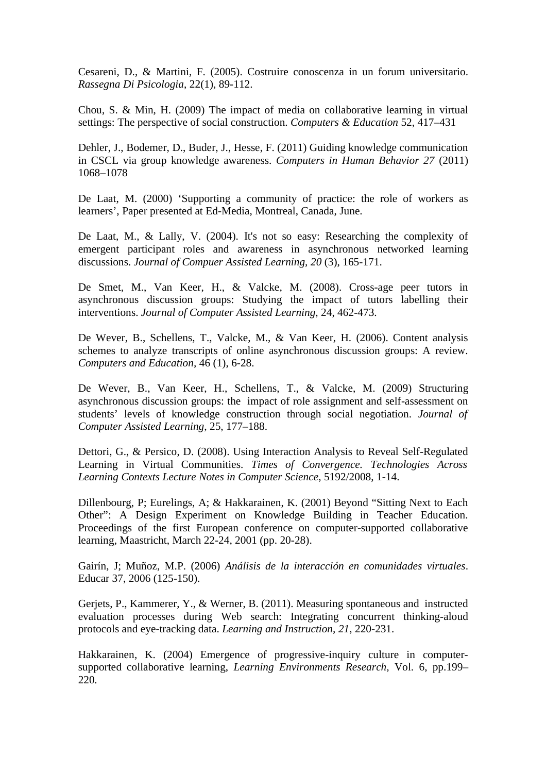Cesareni, D., & Martini, F. (2005). Costruire conoscenza in un forum universitario. *Rassegna Di Psicologia*, 22(1), 89-112.

Chou, S. & Min, H. (2009) The impact of media on collaborative learning in virtual settings: The perspective of social construction. *Computers & Education* 52, 417–431

Dehler, J., Bodemer, D., Buder, J., Hesse, F. (2011) Guiding knowledge communication in CSCL via group knowledge awareness. *Computers in Human Behavior 27* (2011) 1068–1078

De Laat, M. (2000) 'Supporting a community of practice: the role of workers as learners', Paper presented at Ed-Media, Montreal, Canada, June.

De Laat, M., & Lally, V. (2004). It's not so easy: Researching the complexity of emergent participant roles and awareness in asynchronous networked learning discussions. *Journal of Compuer Assisted Learning, 20* (3), 165-171.

De Smet, M., Van Keer, H., & Valcke, M. (2008). Cross-age peer tutors in asynchronous discussion groups: Studying the impact of tutors labelling their interventions. *Journal of Computer Assisted Learning*, 24, 462-473.

De Wever, B., Schellens, T., Valcke, M., & Van Keer, H. (2006). Content analysis schemes to analyze transcripts of online asynchronous discussion groups: A review. *Computers and Education,* 46 (1), 6-28.

De Wever, B., Van Keer, H., Schellens, T., & Valcke, M. (2009) Structuring asynchronous discussion groups: the impact of role assignment and self-assessment on students' levels of knowledge construction through social negotiation. *Journal of Computer Assisted Learning*, 25, 177–188.

Dettori, G., & Persico, D. (2008). Using Interaction Analysis to Reveal Self-Regulated Learning in Virtual Communities. *Times of Convergence. Technologies Across Learning Contexts Lecture Notes in Computer Science*, 5192/2008, 1-14.

Dillenbourg, P; Eurelings, A; & Hakkarainen, K. (2001) Beyond "Sitting Next to Each Other": A Design Experiment on Knowledge Building in Teacher Education. Proceedings of the first European conference on computer-supported collaborative learning, Maastricht, March 22-24, 2001 (pp. 20-28).

Gairín, J; Muñoz, M.P. (2006) *Análisis de la interacción en comunidades virtuales*. Educar 37, 2006 (125-150).

Gerjets, P., Kammerer, Y., & Werner, B. (2011). Measuring spontaneous and instructed evaluation processes during Web search: Integrating concurrent thinking-aloud protocols and eye-tracking data. *Learning and Instruction, 21,* 220-231.

Hakkarainen, K. (2004) Emergence of progressive-inquiry culture in computersupported collaborative learning, *Learning Environments Research,* Vol. 6, pp.199– 220*.*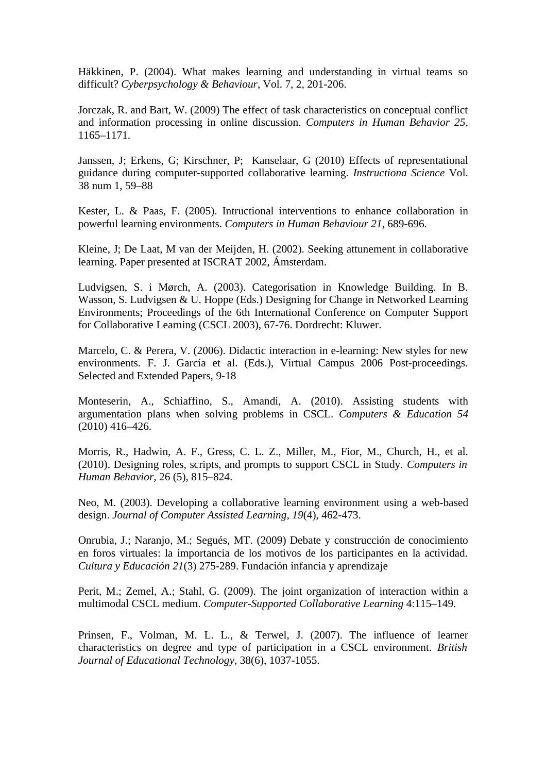Häkkinen, P. (2004). What makes learning and understanding in virtual teams so difficult? *Cyberpsychology & Behaviour*, Vol. 7, 2, 201-206.

Jorczak, R. and Bart, W. (2009) The effect of task characteristics on conceptual conflict and information processing in online discussion. *Computers in Human Behavior 25,* 1165–1171.

Janssen, J; Erkens, G; Kirschner, P; Kanselaar, G (2010) Effects of representational guidance during computer-supported collaborative learning. *Instructiona Science* Vol. 38 num 1, 59–88

Kester, L. & Paas, F. (2005). Intructional interventions to enhance collaboration in powerful learning environments. *Computers in Human Behaviour 21*, 689-696.

Kleine, J; De Laat, M van der Meijden, H. (2002). Seeking attunement in collaborative learning. Paper presented at ISCRAT 2002, Ámsterdam.

Ludvigsen, S. i Mørch, A. (2003). Categorisation in Knowledge Building. In B. Wasson, S. Ludvigsen & U. Hoppe (Eds.) Designing for Change in Networked Learning Environments; Proceedings of the 6th International Conference on Computer Support for Collaborative Learning (CSCL 2003), 67-76. Dordrecht: Kluwer.

Marcelo, C. & Perera, V. (2006). Didactic interaction in e-learning: New styles for new environments. F. J. García et al. (Eds.), Virtual Campus 2006 Post-proceedings. Selected and Extended Papers, 9-18

Monteserin, A., Schiaffino, S., Amandi, A. (2010). Assisting students with argumentation plans when solving problems in CSCL. *Computers & Education 54* (2010) 416–426.

Morris, R., Hadwin, A. F., Gress, C. L. Z., Miller, M., Fior, M., Church, H., et al. (2010). Designing roles, scripts, and prompts to support CSCL in Study. *Computers in Human Behavior,* 26 (5), 815–824.

Neo, M. (2003). Developing a collaborative learning environment using a web-based design. *Journal of Computer Assisted Learning, 19*(4), 462-473.

Onrubia, J.; Naranjo, M.; Segués, MT. (2009) Debate y construcción de conocimiento en foros virtuales: la importancia de los motivos de los participantes en la actividad. *Cultura y Educación 21*(3) 275-289. Fundación infancia y aprendizaje

Perit, M.; Zemel, A.; Stahl, G. (2009). The joint organization of interaction within a multimodal CSCL medium. *Computer-Supported Collaborative Learning* 4:115–149.

Prinsen, F., Volman, M. L. L., & Terwel, J. (2007). The influence of learner characteristics on degree and type of participation in a CSCL environment. *British Journal of Educational Technology*, 38(6), 1037-1055.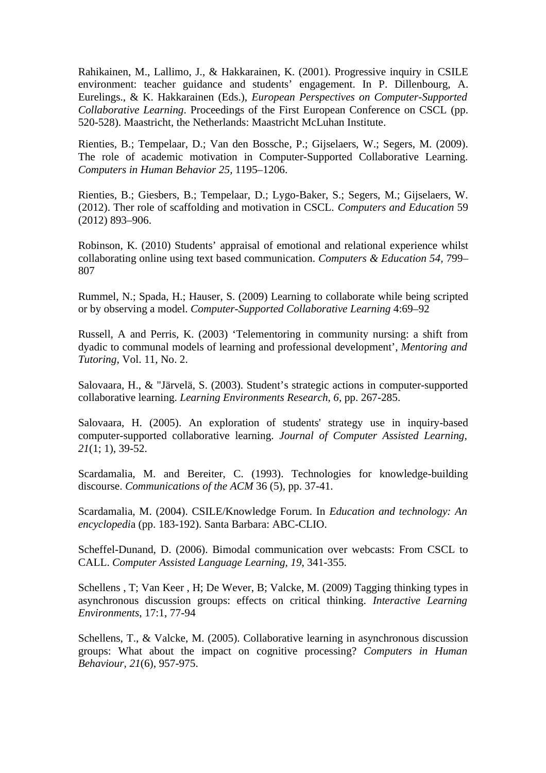Rahikainen, M., Lallimo, J., & Hakkarainen, K. (2001). Progressive inquiry in CSILE environment: teacher guidance and students' engagement. In P. Dillenbourg, A. Eurelings., & K. Hakkarainen (Eds.), *European Perspectives on Computer-Supported Collaborative Learning*. Proceedings of the First European Conference on CSCL (pp. 520-528). Maastricht, the Netherlands: Maastricht McLuhan Institute.

Rienties, B.; Tempelaar, D.; Van den Bossche, P.; Gijselaers, W.; Segers, M. (2009). The role of academic motivation in Computer-Supported Collaborative Learning. *Computers in Human Behavior 25,* 1195–1206.

Rienties, B.; Giesbers, B.; Tempelaar, D.; Lygo-Baker, S.; Segers, M.; Gijselaers, W. (2012). Ther role of scaffolding and motivation in CSCL. *Computers and Education* 59 (2012) 893–906.

Robinson, K. (2010) Students' appraisal of emotional and relational experience whilst collaborating online using text based communication. *Computers & Education 54,* 799– 807

Rummel, N.; Spada, H.; Hauser, S. (2009) Learning to collaborate while being scripted or by observing a model. *Computer-Supported Collaborative Learning* 4:69–92

Russell, A and Perris, K. (2003) 'Telementoring in community nursing: a shift from dyadic to communal models of learning and professional development', *Mentoring and Tutoring*, Vol. 11, No. 2.

Salovaara, H., & "Järvelä, S. (2003). Student's strategic actions in computer-supported collaborative learning. *Learning Environments Research, 6,* pp. 267-285.

Salovaara, H. (2005). An exploration of students' strategy use in inquiry-based computer-supported collaborative learning. *Journal of Computer Assisted Learning, 21*(1; 1), 39-52.

Scardamalia, M. and Bereiter, C. (1993). Technologies for knowledge-building discourse. *Communications of the ACM* 36 (5), pp. 37-41.

Scardamalia, M. (2004). CSILE/Knowledge Forum. In *Education and technology: An encyclopedi*a (pp. 183-192). Santa Barbara: ABC-CLIO.

Scheffel-Dunand, D. (2006). Bimodal communication over webcasts: From CSCL to CALL. *Computer Assisted Language Learning, 19*, 341-355.

Schellens , T; Van Keer , H; De Wever, B; Valcke, M. (2009) Tagging thinking types in asynchronous discussion groups: effects on critical thinking. *Interactive Learning Environments*, 17:1, 77-94

Schellens, T., & Valcke, M. (2005). Collaborative learning in asynchronous discussion groups: What about the impact on cognitive processing? *Computers in Human Behaviour, 21*(6), 957-975.